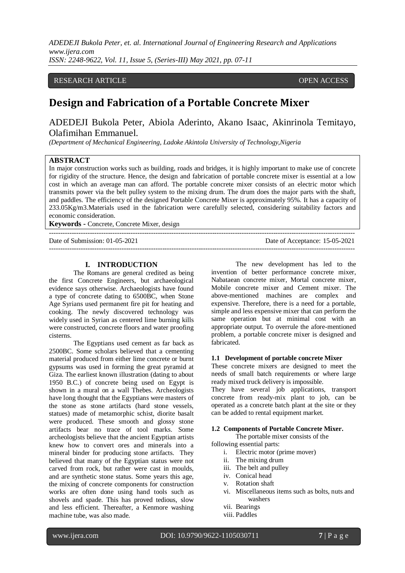*ADEDEJI Bukola Peter, et. al. International Journal of Engineering Research and Applications www.ijera.com ISSN: 2248-9622, Vol. 11, Issue 5, (Series-III) May 2021, pp. 07-11*

# **RESEARCH ARTICLE OPEN ACCESS**

# **Design and Fabrication of a Portable Concrete Mixer**

ADEDEJI Bukola Peter, Abiola Aderinto, Akano Isaac, Akinrinola Temitayo, Olafimihan Emmanuel.

*(Department of Mechanical Engineering, Ladoke Akintola University of Technology,Nigeria* 

# **ABSTRACT**

In major construction works such as building, roads and bridges, it is highly important to make use of concrete for rigidity of the structure. Hence, the design and fabrication of portable concrete mixer is essential at a low cost in which an average man can afford. The portable concrete mixer consists of an electric motor which transmits power via the belt pulley system to the mixing drum. The drum does the major parts with the shaft, and paddles. The efficiency of the designed Portable Concrete Mixer is approximately 95%. It has a capacity of 233.05Kg/m3.Materials used in the fabrication were carefully selected, considering suitability factors and economic consideration.

---------------------------------------------------------------------------------------------------------------------------------------

---------------------------------------------------------------------------------------------------------------------------------------

**Keywords -** Concrete, Concrete Mixer, design

Date of Submission: 01-05-2021 Date of Acceptance: 15-05-2021

#### **I. INTRODUCTION**

The Romans are general credited as being the first Concrete Engineers, but archaeological evidence says otherwise. Archaeologists have found a type of concrete dating to 6500BC, when Stone Age Syrians used permanent fire pit for heating and cooking. The newly discovered technology was widely used in Syrian as centered lime burning kills were constructed, concrete floors and water proofing cisterns.

The Egyptians used cement as far back as 2500BC. Some scholars believed that a cementing material produced from either lime concrete or burnt gypsums was used in forming the great pyramid at Giza. The earliest known illustration (dating to about 1950 B.C.) of concrete being used on Egypt is shown in a mural on a wall Thebes. Archeologists have long thought that the Egyptians were masters of the stone as stone artifacts (hard stone vessels, statues) made of metamorphic schist, diorite basalt were produced. These smooth and glossy stone artifacts bear no trace of tool marks. Some archeologists believe that the ancient Egyptian artists knew how to convert ores and minerals into a mineral binder for producing stone artifacts. They believed that many of the Egyptian status were not carved from rock, but rather were cast in moulds, and are synthetic stone status. Some years this age, the mixing of concrete components for construction works are often done using hand tools such as shovels and spade. This has proved tedious, slow and less efficient. Thereafter, a Kenmore washing machine tube, was also made.

The new development has led to the invention of better performance concrete mixer, Nabataean concrete mixer, Mortal concrete mixer, Mobile concrete mixer and Cement mixer. The above-mentioned machines are complex and expensive. Therefore, there is a need for a portable, simple and less expensive mixer that can perform the same operation but at minimal cost with an appropriate output. To overrule the afore-mentioned problem, a portable concrete mixer is designed and fabricated.

#### **1.1 Development of portable concrete Mixer**

These concrete mixers are designed to meet the needs of small batch requirements or where large ready mixed truck delivery is impossible.

They have several job applications, transport concrete from ready-mix plant to job, can be operated as a concrete batch plant at the site or they can be added to rental equipment market.

#### **1.2 Components of Portable Concrete Mixer.**

The portable mixer consists of the following essential parts:

- i. Electric motor (prime mover)
- ii. The mixing drum
- iii. The belt and pulley
- iv. Conical head
- v. Rotation shaft
- vi. Miscellaneous items such as bolts, nuts and washers
- vii. Bearings
- viii. Paddles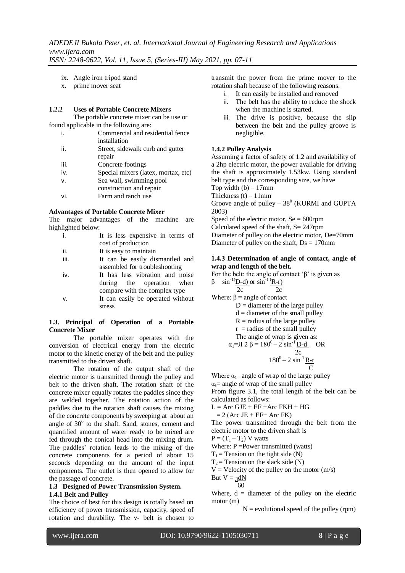- ix. Angle iron tripod stand
- x. prime mover seat

#### **1.2.2 Uses of Portable Concrete Mixers**

The portable concrete mixer can be use or found applicable in the following are:

- i. Commercial and residential fence installation
- ii. Street, sidewalk curb and gutter repair
- iii. Concrete footings
- iv. Special mixers (latex, mortax, etc)
- v. Sea wall, swimming pool
- construction and repair
- vi. Farm and ranch use

#### **Advantages of Portable Concrete Mixer**

The major advantages of the machine are highlighted below:

|      | It is less expensive in terms of |  |  |  |  |
|------|----------------------------------|--|--|--|--|
|      | cost of production               |  |  |  |  |
| ii.  | It is easy to maintain           |  |  |  |  |
| iii. | It can be easily dismantled and  |  |  |  |  |
|      |                                  |  |  |  |  |

- assembled for troubleshooting iv. It has less vibration and noise
- during the operation when compare with the complex type v. It can easily be operated without stress

#### **1.3. Principal of Operation of a Portable Concrete Mixer**

The portable mixer operates with the conversion of electrical energy from the electric motor to the kinetic energy of the belt and the pulley transmitted to the driven shaft.

The rotation of the output shaft of the electric motor is transmitted through the pulley and belt to the driven shaft. The rotation shaft of the concrete mixer equally rotates the paddles since they are welded together. The rotation action of the paddles due to the rotation shaft causes the mixing of the concrete components by sweeping at about an angle of  $30^0$  to the shaft. Sand, stones, cement and quantified amount of water ready to be mixed are fed through the conical head into the mixing drum. The paddles' rotation leads to the mixing of the concrete components for a period of about 15 seconds depending on the amount of the input components. The outlet is then opened to allow for the passage of concrete.

# **1.3 Designed of Power Transmission System.**

# **1.4.1 Belt and Pulley**

The choice of best for this design is totally based on efficiency of power transmission, capacity, speed of rotation and durability. The v- belt is chosen to

transmit the power from the prime mover to the rotation shaft because of the following reasons.

- i. It can easily be installed and removed
- ii. The belt has the ability to reduce the shock when the machine is started.
- iii. The drive is positive, because the slip between the belt and the pulley groove is negligible.

#### **1.4.2 Pulley Analysis**

Assuming a factor of safety of 1.2 and availability of a 2hp electric motor, the power available for driving the shaft is approximately 1.53kw. Using standard belt type and the corresponding size, we have

Top width  $(b) - 17$ mm

Thickness  $(t) - 11$ mm

Groove angle of pulley  $-38^0$  (KURMI and GUPTA 2003)

Speed of the electric motor,  $Se = 600$ rpm

Calculated speed of the shaft, S= 247rpm Diameter of pulley on the electric motor, De=70mm Diameter of pulley on the shaft,  $Ds = 170$ mm

#### **1.4.3 Determination of angle of contact, angle of wrap and length of the belt.**

For the belt: the angle of contact ' $\beta$ ' is given as  $\beta = \sin^{-1}(\underline{D-d})$  or  $\sin^{-1}(\underline{R-r})$  $2c$   $2c$ Where:  $\beta$  = angle of contact  $D =$  diameter of the large pulley  $d =$  diameter of the small pulley  $R =$  radius of the large pulley  $r =$  radius of the small pulley The angle of wrap is given as:  $\alpha_1 = \Pi 2 \beta = 180^0 - 2 \sin^{-1} \underline{D-d}$  OR 2c  $180^0 - 2 \sin^{-1} R-r$ C

Where  $\alpha_1$  = angle of wrap of the large pulley  $\alpha_s$  = angle of wrap of the small pulley From figure 3.1, the total length of the belt can be calculated as follows:

 $L = Arc$  GJE + EF +Arc FKH + HG

 $= 2$  (Arc JE + EF+ Arc FK)

The power transmitted through the belt from the electric motor to the driven shaft is

 $P = (T_1 - T_2)$  V watts

Where: P = Power transmitted (watts)

- $T_1$  = Tension on the tight side (N)
- $T_2$  = Tension on the slack side (N)
- $V =$  Velocity of the pulley on the motor  $(m/s)$

But  $V = \underline{\eta} dN$ 

60

Where,  $d =$  diameter of the pulley on the electric motor (m)

 $N =$  evolutional speed of the pulley (rpm)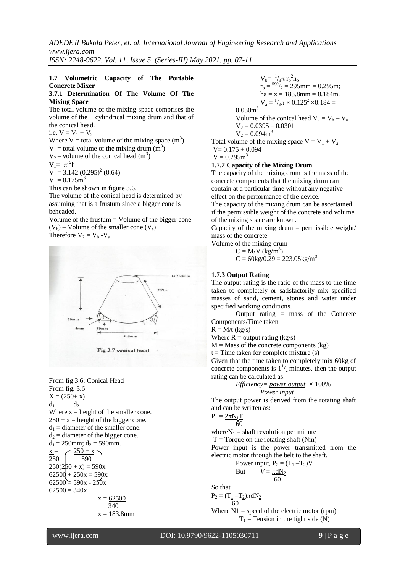*ADEDEJI Bukola Peter, et. al. International Journal of Engineering Research and Applications www.ijera.com*

*ISSN: 2248-9622, Vol. 11, Issue 5, (Series-III) May 2021, pp. 07-11*

### **1.7 Volumetric Capacity of The Portable Concrete Mixer**

#### **3.7.1 Determination Of The Volume Of The Mixing Space**

The total volume of the mixing space comprises the volume of the cylindrical mixing drum and that of the conical head.

i.e.  $V = V_1 + V_2$ 

Where V = total volume of the mixing space  $(m^3)$  $V_1$  = total volume of the mixing drum  $(m^3)$  $V_2$  = volume of the conical head (m<sup>3</sup>)  $V_1 = \pi r^2 h$  $V_1 = 3.142 (0.295)^2 (0.64)$  $V_1 = 0.175m^3$ This can be shown in figure 3.6.

The volume of the conical head is determined by assuming that is a frustum since a bigger cone is beheaded.

Volume of the frustum = Volume of the bigger cone  $(V_b)$  – Volume of the smaller cone  $(V_s)$ Therefore  $V_2 = V_b - V_s$ 



From fig 3.6: Conical Head From fig. 3.6  $X = (250 + x)$  $d_1$   $d_2$ Where  $x = height$  of the smaller cone.  $250 + x =$  height of the bigger cone.  $d_1$  = diameter of the smaller cone.  $d_2$  = diameter of the bigger cone.  $d_1 = 250$ mm;  $d_2 = 590$ mm.  $x = 250 + x$  $250 \mid 590$  $250(250 + x) = 590x$  $62500 + 250x = 590x$  $62500 = 590x - 250x$  $62500 = 340x$  $x = 62500$  340  $x = 183.8$ mm

 $V_b = \frac{1}{3} \pi r_b^2 h_b$  $r_b = {590}/2 = 295$ mm = 0.295m;  $ha = x = 183.8$ mm = 0.184m.  $V_a = \frac{1}{3}\pi \times 0.125^2 \times 0.184 =$  $0.030m<sup>3</sup>$ Volume of the conical head  $V_2 = V_b - V_a$  $V_2 = 0.0395 - 0.0301$  $V_2 = 0.094m^3$ Total volume of the mixing space  $V = V_1 + V_2$  $V= 0.175 + 0.094$ 

$$
V = 0.175 + S
$$
  

$$
V = 0.295 m^3
$$

### **1.7.2 Capacity of the Mixing Drum**

The capacity of the mixing drum is the mass of the concrete components that the mixing drum can contain at a particular time without any negative effect on the performance of the device.

The capacity of the mixing drum can be ascertained if the permissible weight of the concrete and volume of the mixing space are known.

Capacity of the mixing drum  $=$  permissible weight/ mass of the concrete

Volume of the mixing drum

 $C = M/V$  (kg/m<sup>3</sup>)  $C = 60kg/0.29 = 223.05kg/m<sup>3</sup>$ 

#### **1.7.3 Output Rating**

The output rating is the ratio of the mass to the time taken to completely or satisfactorily mix specified masses of sand, cement, stones and water under specified working conditions.

Output rating = mass of the Concrete Components/Time taken

 $R = M/t$  (kg/s)

Where  $R =$  output rating (kg/s)

 $M =$ Mass of the concrete components (kg)

$$
t = Time
$$
 taken for complete mixture (s)

Given that the time taken to completely mix 60kg of concrete components is  $1\frac{1}{2}$  minutes, then the output rating can be calculated as:

*Efficiency= power output* 
$$
\times
$$
 100% *Power input*

The output power is derived from the rotating shaft and can be written as:

$$
P_1 = \underline{2\pi N_1 T}
$$

 $60$ where  $N_1$  = shaft revolution per minute

 $T = T$ orque on the rotating shaft (Nm)

Power input is the power transmitted from the electric motor through the belt to the shaft.

Power input, 
$$
P_2 = (T_1 - T_2)V
$$
  
Rut  $V = \pi dN$ 

But 
$$
V = \frac{\pi dN_2}{60}
$$

So that

$$
P_2 = \frac{(T_1 - T_2)\pi dN_2}{60}
$$

Where  $N1$  = speed of the electric motor (rpm)  $T_1$  = Tension in the tight side (N)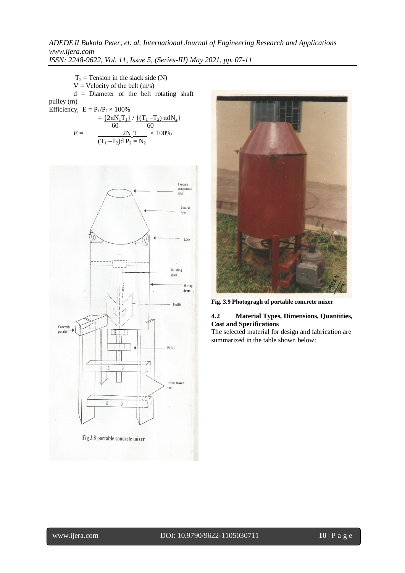*ADEDEJI Bukola Peter, et. al. International Journal of Engineering Research and Applications www.ijera.com ISSN: 2248-9622, Vol. 11, Issue 5, (Series-III) May 2021, pp. 07-11*

 $T_2$  = Tension in the slack side (N)

 $V =$  Velocity of the belt  $(m/s)$ 

d = Diameter of the belt rotating shaft pulley (m)

Efficiency,  $E = P_1/P_2 \times 100\%$ 

$$
E = \frac{\{2\pi N_1 T_1\} / \{(T_1 - T_2) \pi dN_2\}}{60}
$$
  

$$
E = \frac{2N_1T}{(T_1 - T_2)dP_2 = N_2} \times 100\%
$$





**Fig. 3.9 Photogragh of portable concrete mixer**

### **4.2 Material Types, Dimensions, Quantities, Cost and Specifications**

The selected material for design and fabrication are summarized in the table shown below: